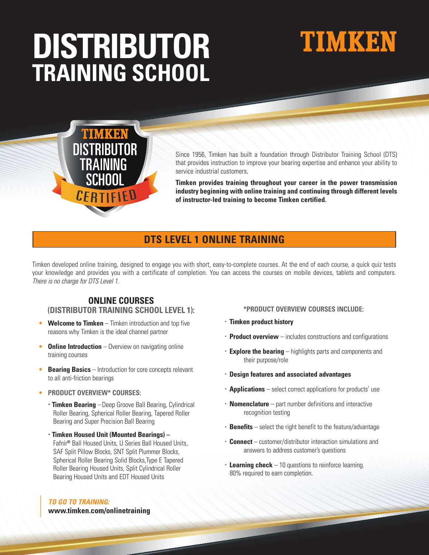# **DISTRIBUTOR TRAINING SCHOOL**

# **TIMKEN**



Since 1956, Timken has built a foundation through Distributor Training School (DTS) that provides instruction to improve your bearing expertise and enhance your ability to service industrial customers.

**Timken provides training throughout your career in the power transmission industry beginning with online training and continuing through different levels of instructor-led training to become Timken certified.** 

# **DTS LEVEL 1 ONLINE TRAINING**

Timken developed online training, designed to engage you with short, easy-to-complete courses. At the end of each course, a quick quiz tests your knowledge and provides you with a certificate of completion. You can access the courses on mobile devices, tablets and computers. *There is no charge for DTS Level 1.*

# **ONLINE COURSES**

### **(DISTRIBUTOR TRAINING SCHOOL LEVEL 1):**

- **Welcome to Timken** Timken introduction and top five reasons why Timken is the ideal channel partner
- **Online Introduction** Overview on navigating online training courses
- **Bearing Basics** Introduction for core concepts relevant to all anti-friction bearings
- **PRODUCT OVERVIEW\* COURSES:**
	- **Timken Bearing** –Deep Groove Ball Bearing, Cylindrical Roller Bearing, Spherical Roller Bearing, Tapered Roller Bearing and Super Precision Ball Bearing
	- **Timken Housed Unit (Mounted Bearings)**  Fafnir® Ball Housed Units, U Series Ball Housed Units, SAF Split Pillow Blocks, SNT Split Plummer Blocks, Spherical Roller Bearing Solid Blocks,Type E Tapered Roller Bearing Housed Units, Split Cylindrical Roller Bearing Housed Units and EDT Housed Units

#### *TO GO TO TRAINING:*

**www.timken.com/onlinetraining**

#### **\*PRODUCT OVERVIEW COURSES INCLUDE:**

- **Timken product history**
- **Product overview** includes constructions and configurations
- **Explore the bearing** highlights parts and components and their purpose/role
- **Design features and associated advantages**
- **Applications** select correct applications for products' use
- **Nomenclature** part number definitions and interactive recognition testing
- **Benefits** select the right benefit to the feature/advantage
- **Connect** customer/distributor interaction simulations and answers to address customer's questions
- **Learning check** 10 questions to reinforce learning. 80% required to earn completion.